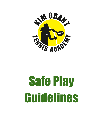

# Safe Play Guidelines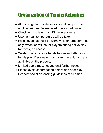## Organization of Tennis Activities

- All bookings for private lessons and camps (when applicable) must be made 24 hours in advance.
- Check in is no later than 15min in advance.
- Upon arrival, temperatures will be taken.
- Face coverings must be worn while on property. The only exception will be for players during active play. No mask, no access.
- Wash or sanitize your hands before and after your tennis play. Designated hand sanitizing stations are available on the property.
- Limited demo racket usage until further notice.
- Please avoid congregating before and after play. Respect social distancing guidelines at all times.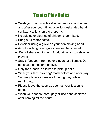## Tennis Play Rules

- Wash your hands with a disinfectant or soap before and after your court time. Look for designated hand sanitizer stations on the property.
- No spitting or clearing of phlegm is permitted.
- Bring a full water bottle.
- Consider using a glove on your non playing hand.
- Avoid touching court gates, fences, benches, etc.
- Do not share equipment, food, drinks, or towels when playing.
- Stay 6 feet apart from other players at all times. Do not shake hands or high five.
- Only the Coach is allowed to pick up balls.
- Wear your face covering/ mask before and after play. You may take your mask off during play, while running etc.
- Please leave the court as soon as your lesson is done.
- Wash your hands thoroughly or use hand sanitizer after coming off the court.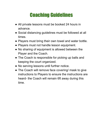#### Coaching Guidelines

- All private lessons must be booked 24 hours in advance.
- Social distancing guidelines must be followed at all times.
- Players must bring their own towel and water bottle.
- Players must not handle lesson equipment.
- No sharing of equipment is allowed between the Player and the Coach.
- The Coach is responsible for picking up balls and keeping the court organized.
- No serving lessons until further notice.
- The Coach will remove face covering/ mask to give instructions to Players to ensure the instructions are heard- the Coach will remain 6ft away during this time.